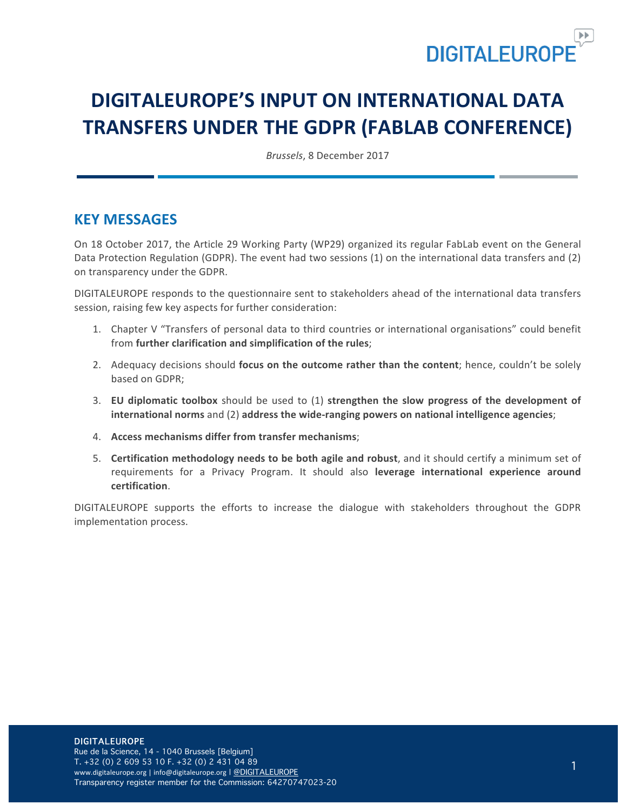

# **DIGITALEUROPE'S INPUT ON INTERNATIONAL DATA TRANSFERS UNDER THE GDPR (FABLAB CONFERENCE)**

*Brussels*, 8 December 2017

### **KEY MESSAGES**

On 18 October 2017, the Article 29 Working Party (WP29) organized its regular FabLab event on the General Data Protection Regulation (GDPR). The event had two sessions (1) on the international data transfers and (2) on transparency under the GDPR.

DIGITALEUROPE responds to the questionnaire sent to stakeholders ahead of the international data transfers session, raising few key aspects for further consideration:

- 1. Chapter V "Transfers of personal data to third countries or international organisations" could benefit from further clarification and simplification of the rules;
- 2. Adequacy decisions should **focus on the outcome rather than the content**; hence, couldn't be solely based on GDPR:
- 3. **EU diplomatic toolbox** should be used to (1) strengthen the slow progress of the development of international norms and (2) address the wide-ranging powers on national intelligence agencies;
- 4. **Access mechanisms differ from transfer mechanisms:**
- 5. **Certification methodology needs to be both agile and robust**, and it should certify a minimum set of requirements for a Privacy Program. It should also **leverage international experience around certification**.

DIGITALEUROPE supports the efforts to increase the dialogue with stakeholders throughout the GDPR implementation process.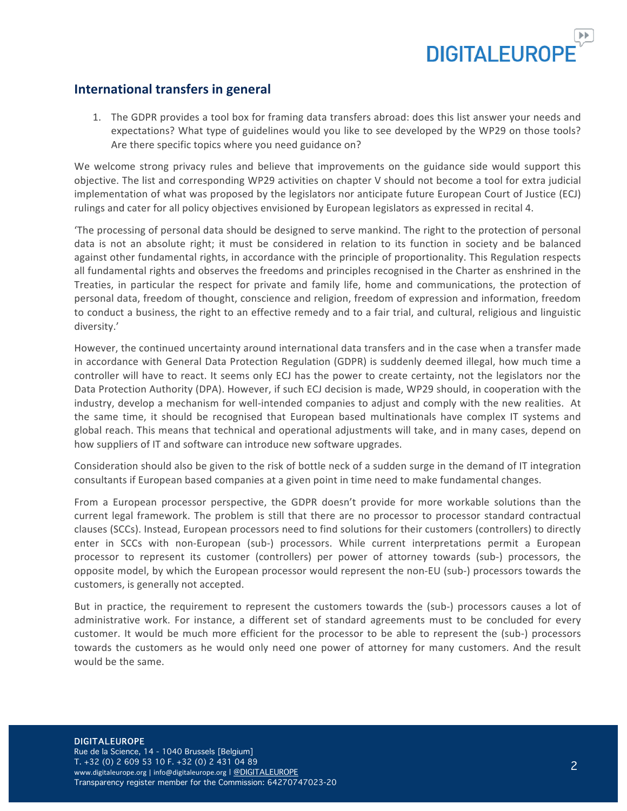

### **International transfers in general**

1. The GDPR provides a tool box for framing data transfers abroad: does this list answer your needs and expectations? What type of guidelines would you like to see developed by the WP29 on those tools? Are there specific topics where you need guidance on?

We welcome strong privacy rules and believe that improvements on the guidance side would support this objective. The list and corresponding WP29 activities on chapter V should not become a tool for extra judicial implementation of what was proposed by the legislators nor anticipate future European Court of Justice (ECJ) rulings and cater for all policy objectives envisioned by European legislators as expressed in recital 4.

The processing of personal data should be designed to serve mankind. The right to the protection of personal data is not an absolute right; it must be considered in relation to its function in society and be balanced against other fundamental rights, in accordance with the principle of proportionality. This Regulation respects all fundamental rights and observes the freedoms and principles recognised in the Charter as enshrined in the Treaties, in particular the respect for private and family life, home and communications, the protection of personal data, freedom of thought, conscience and religion, freedom of expression and information, freedom to conduct a business, the right to an effective remedy and to a fair trial, and cultural, religious and linguistic diversity.'

However, the continued uncertainty around international data transfers and in the case when a transfer made in accordance with General Data Protection Regulation (GDPR) is suddenly deemed illegal, how much time a controller will have to react. It seems only ECJ has the power to create certainty, not the legislators nor the Data Protection Authority (DPA). However, if such ECJ decision is made, WP29 should, in cooperation with the industry, develop a mechanism for well-intended companies to adjust and comply with the new realities. At the same time, it should be recognised that European based multinationals have complex IT systems and global reach. This means that technical and operational adjustments will take, and in many cases, depend on how suppliers of IT and software can introduce new software upgrades.

Consideration should also be given to the risk of bottle neck of a sudden surge in the demand of IT integration consultants if European based companies at a given point in time need to make fundamental changes.

From a European processor perspective, the GDPR doesn't provide for more workable solutions than the current legal framework. The problem is still that there are no processor to processor standard contractual clauses (SCCs). Instead, European processors need to find solutions for their customers (controllers) to directly enter in SCCs with non-European (sub-) processors. While current interpretations permit a European processor to represent its customer (controllers) per power of attorney towards (sub-) processors, the opposite model, by which the European processor would represent the non-EU (sub-) processors towards the customers, is generally not accepted.

But in practice, the requirement to represent the customers towards the (sub-) processors causes a lot of administrative work. For instance, a different set of standard agreements must to be concluded for every customer. It would be much more efficient for the processor to be able to represent the (sub-) processors towards the customers as he would only need one power of attorney for many customers. And the result would be the same.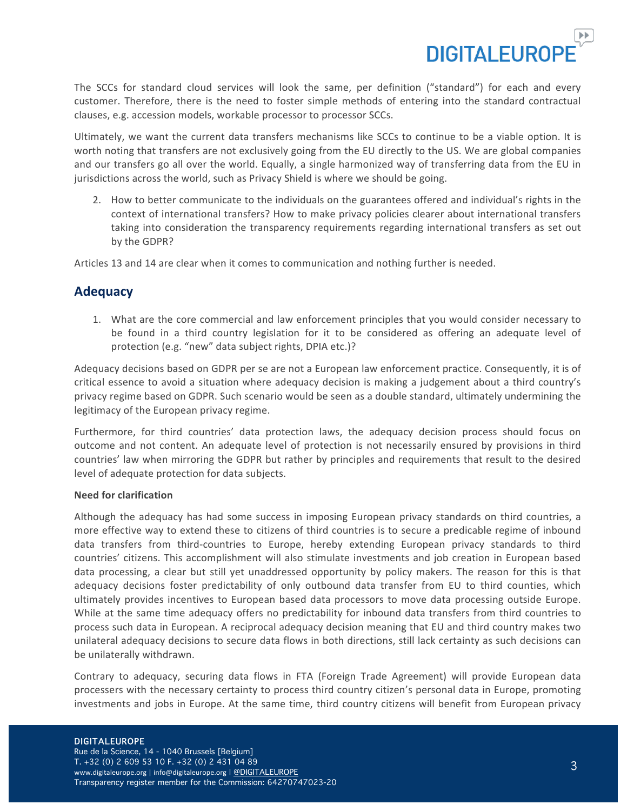

The SCCs for standard cloud services will look the same, per definition ("standard") for each and every customer. Therefore, there is the need to foster simple methods of entering into the standard contractual clauses, e.g. accession models, workable processor to processor SCCs.

Ultimately, we want the current data transfers mechanisms like SCCs to continue to be a viable option. It is worth noting that transfers are not exclusively going from the EU directly to the US. We are global companies and our transfers go all over the world. Equally, a single harmonized way of transferring data from the EU in jurisdictions across the world, such as Privacy Shield is where we should be going.

2. How to better communicate to the individuals on the guarantees offered and individual's rights in the context of international transfers? How to make privacy policies clearer about international transfers taking into consideration the transparency requirements regarding international transfers as set out by the GDPR?

Articles 13 and 14 are clear when it comes to communication and nothing further is needed.

### **Adequacy**

1. What are the core commercial and law enforcement principles that you would consider necessary to be found in a third country legislation for it to be considered as offering an adequate level of protection (e.g. "new" data subject rights, DPIA etc.)?

Adequacy decisions based on GDPR per se are not a European law enforcement practice. Consequently, it is of critical essence to avoid a situation where adequacy decision is making a judgement about a third country's privacy regime based on GDPR. Such scenario would be seen as a double standard, ultimately undermining the legitimacy of the European privacy regime.

Furthermore, for third countries' data protection laws, the adequacy decision process should focus on outcome and not content. An adequate level of protection is not necessarily ensured by provisions in third countries' law when mirroring the GDPR but rather by principles and requirements that result to the desired level of adequate protection for data subjects.

#### **Need for clarification**

Although the adequacy has had some success in imposing European privacy standards on third countries, a more effective way to extend these to citizens of third countries is to secure a predicable regime of inbound data transfers from third-countries to Europe, hereby extending European privacy standards to third countries' citizens. This accomplishment will also stimulate investments and job creation in European based data processing, a clear but still yet unaddressed opportunity by policy makers. The reason for this is that adequacy decisions foster predictability of only outbound data transfer from EU to third counties, which ultimately provides incentives to European based data processors to move data processing outside Europe. While at the same time adequacy offers no predictability for inbound data transfers from third countries to process such data in European. A reciprocal adequacy decision meaning that EU and third country makes two unilateral adequacy decisions to secure data flows in both directions, still lack certainty as such decisions can be unilaterally withdrawn.

Contrary to adequacy, securing data flows in FTA (Foreign Trade Agreement) will provide European data processers with the necessary certainty to process third country citizen's personal data in Europe, promoting investments and jobs in Europe. At the same time, third country citizens will benefit from European privacy

#### DIGITALEUROPE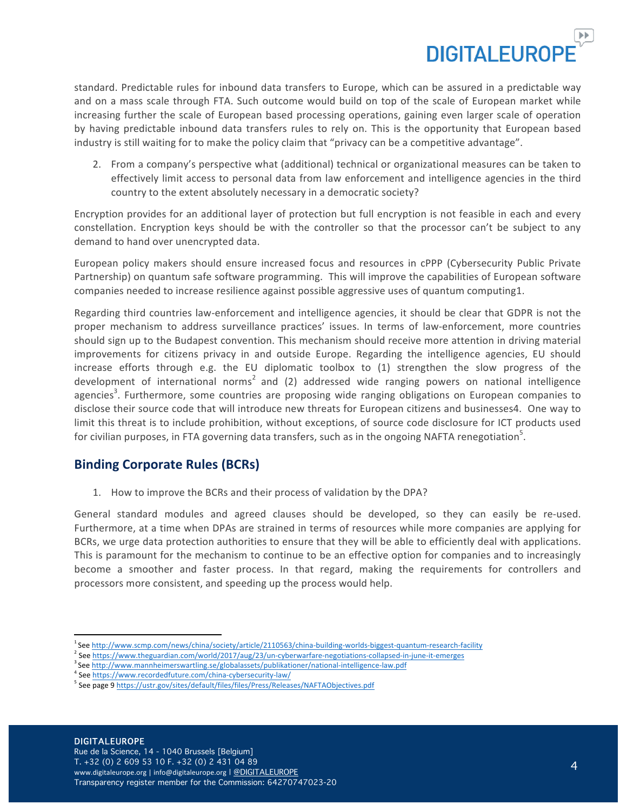

standard. Predictable rules for inbound data transfers to Europe, which can be assured in a predictable way and on a mass scale through FTA. Such outcome would build on top of the scale of European market while increasing further the scale of European based processing operations, gaining even larger scale of operation by having predictable inbound data transfers rules to rely on. This is the opportunity that European based industry is still waiting for to make the policy claim that "privacy can be a competitive advantage".

2. From a company's perspective what (additional) technical or organizational measures can be taken to effectively limit access to personal data from law enforcement and intelligence agencies in the third country to the extent absolutely necessary in a democratic society?

Encryption provides for an additional layer of protection but full encryption is not feasible in each and every constellation. Encryption keys should be with the controller so that the processor can't be subject to any demand to hand over unencrypted data.

European policy makers should ensure increased focus and resources in cPPP (Cybersecurity Public Private Partnership) on quantum safe software programming. This will improve the capabilities of European software companies needed to increase resilience against possible aggressive uses of quantum computing1.

Regarding third countries law-enforcement and intelligence agencies, it should be clear that GDPR is not the proper mechanism to address surveillance practices' issues. In terms of law-enforcement, more countries should sign up to the Budapest convention. This mechanism should receive more attention in driving material improvements for citizens privacy in and outside Europe. Regarding the intelligence agencies, EU should increase efforts through e.g. the EU diplomatic toolbox to  $(1)$  strengthen the slow progress of the development of international norms<sup>2</sup> and (2) addressed wide ranging powers on national intelligence agencies<sup>3</sup>. Furthermore, some countries are proposing wide ranging obligations on European companies to disclose their source code that will introduce new threats for European citizens and businesses4. One way to limit this threat is to include prohibition, without exceptions, of source code disclosure for ICT products used for civilian purposes, in FTA governing data transfers, such as in the ongoing NAFTA renegotiation<sup>5</sup>.

### **Binding Corporate Rules (BCRs)**

1. How to improve the BCRs and their process of validation by the DPA?

General standard modules and agreed clauses should be developed, so they can easily be re-used. Furthermore, at a time when DPAs are strained in terms of resources while more companies are applying for BCRs, we urge data protection authorities to ensure that they will be able to efficiently deal with applications. This is paramount for the mechanism to continue to be an effective option for companies and to increasingly become a smoother and faster process. In that regard, making the requirements for controllers and processors more consistent, and speeding up the process would help.

j

<sup>1</sup> See http://www.scmp.com/news/china/society/article/2110563/china-building-worlds-biggest-quantum-research-facility

<sup>&</sup>lt;sup>2</sup> See https://www.theguardian.com/world/2017/aug/23/un-cyberwarfare-negotiations-collapsed-in-june-it-emerges

<sup>&</sup>lt;sup>3</sup>See http://www.mannheimerswartling.se/globalassets/publikationer/national-intelligence-law.pdf

<sup>4</sup> See https://www.recordedfuture.com/china-cybersecurity-law/

<sup>&</sup>lt;sup>5</sup> See page 9 https://ustr.gov/sites/default/files/files/Press/Releases/NAFTAObjectives.pdf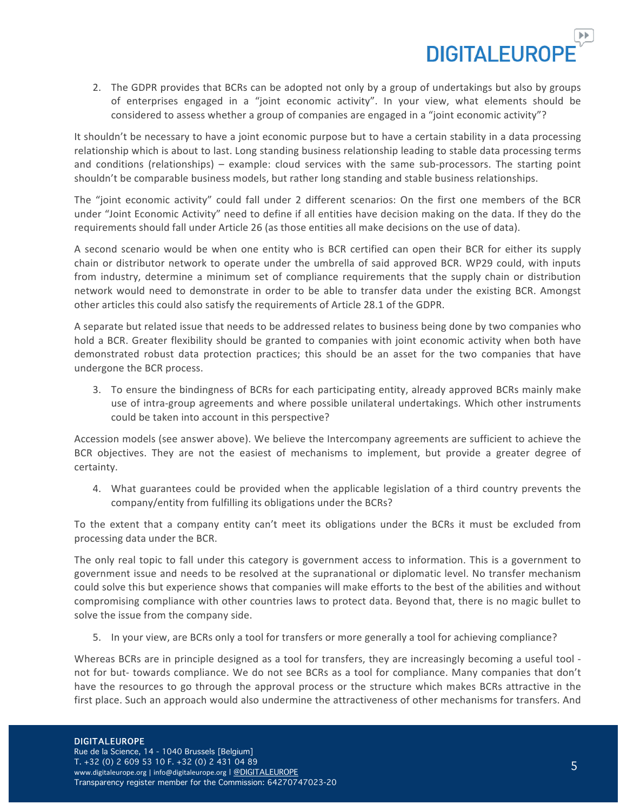

2. The GDPR provides that BCRs can be adopted not only by a group of undertakings but also by groups of enterprises engaged in a "joint economic activity". In your view, what elements should be considered to assess whether a group of companies are engaged in a "joint economic activity"?

It shouldn't be necessary to have a joint economic purpose but to have a certain stability in a data processing relationship which is about to last. Long standing business relationship leading to stable data processing terms and conditions (relationships) – example: cloud services with the same sub-processors. The starting point shouldn't be comparable business models, but rather long standing and stable business relationships.

The "joint economic activity" could fall under 2 different scenarios: On the first one members of the BCR under "Joint Economic Activity" need to define if all entities have decision making on the data. If they do the requirements should fall under Article 26 (as those entities all make decisions on the use of data).

A second scenario would be when one entity who is BCR certified can open their BCR for either its supply chain or distributor network to operate under the umbrella of said approved BCR. WP29 could, with inputs from industry, determine a minimum set of compliance requirements that the supply chain or distribution network would need to demonstrate in order to be able to transfer data under the existing BCR. Amongst other articles this could also satisfy the requirements of Article 28.1 of the GDPR.

A separate but related issue that needs to be addressed relates to business being done by two companies who hold a BCR. Greater flexibility should be granted to companies with joint economic activity when both have demonstrated robust data protection practices; this should be an asset for the two companies that have undergone the BCR process.

3. To ensure the bindingness of BCRs for each participating entity, already approved BCRs mainly make use of intra-group agreements and where possible unilateral undertakings. Which other instruments could be taken into account in this perspective?

Accession models (see answer above). We believe the Intercompany agreements are sufficient to achieve the BCR objectives. They are not the easiest of mechanisms to implement, but provide a greater degree of certainty.

4. What guarantees could be provided when the applicable legislation of a third country prevents the company/entity from fulfilling its obligations under the BCRs?

To the extent that a company entity can't meet its obligations under the BCRs it must be excluded from processing data under the BCR.

The only real topic to fall under this category is government access to information. This is a government to government issue and needs to be resolved at the supranational or diplomatic level. No transfer mechanism could solve this but experience shows that companies will make efforts to the best of the abilities and without compromising compliance with other countries laws to protect data. Beyond that, there is no magic bullet to solve the issue from the company side.

5. In your view, are BCRs only a tool for transfers or more generally a tool for achieving compliance?

Whereas BCRs are in principle designed as a tool for transfers, they are increasingly becoming a useful tool not for but- towards compliance. We do not see BCRs as a tool for compliance. Many companies that don't have the resources to go through the approval process or the structure which makes BCRs attractive in the first place. Such an approach would also undermine the attractiveness of other mechanisms for transfers. And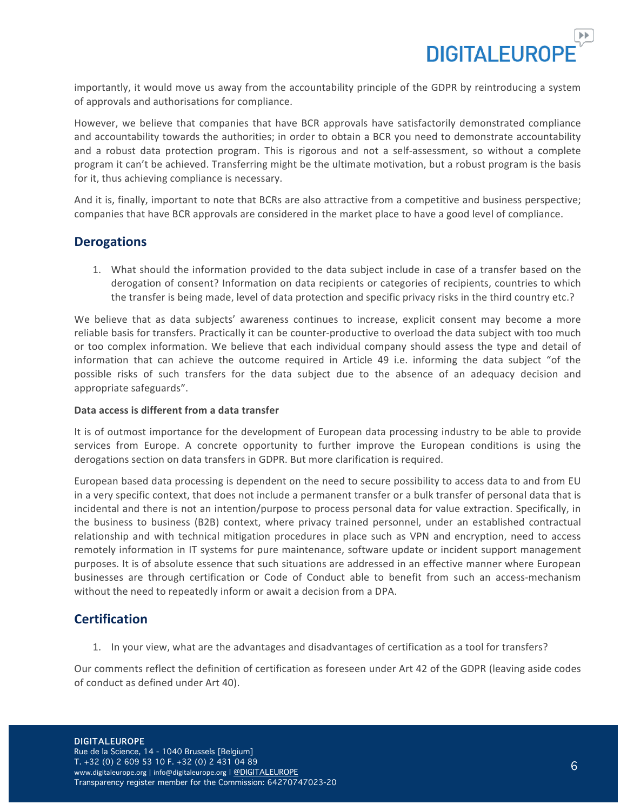

importantly, it would move us away from the accountability principle of the GDPR by reintroducing a system of approvals and authorisations for compliance.

However, we believe that companies that have BCR approvals have satisfactorily demonstrated compliance and accountability towards the authorities; in order to obtain a BCR you need to demonstrate accountability and a robust data protection program. This is rigorous and not a self-assessment, so without a complete program it can't be achieved. Transferring might be the ultimate motivation, but a robust program is the basis for it, thus achieving compliance is necessary.

And it is, finally, important to note that BCRs are also attractive from a competitive and business perspective; companies that have BCR approvals are considered in the market place to have a good level of compliance.

### **Derogations**

1. What should the information provided to the data subject include in case of a transfer based on the derogation of consent? Information on data recipients or categories of recipients, countries to which the transfer is being made, level of data protection and specific privacy risks in the third country etc.?

We believe that as data subjects' awareness continues to increase, explicit consent may become a more reliable basis for transfers. Practically it can be counter-productive to overload the data subject with too much or too complex information. We believe that each individual company should assess the type and detail of information that can achieve the outcome required in Article 49 i.e. informing the data subject "of the possible risks of such transfers for the data subject due to the absence of an adequacy decision and appropriate safeguards".

#### Data access is different from a data transfer

It is of outmost importance for the development of European data processing industry to be able to provide services from Europe. A concrete opportunity to further improve the European conditions is using the derogations section on data transfers in GDPR. But more clarification is required.

European based data processing is dependent on the need to secure possibility to access data to and from EU in a very specific context, that does not include a permanent transfer or a bulk transfer of personal data that is incidental and there is not an intention/purpose to process personal data for value extraction. Specifically, in the business to business (B2B) context, where privacy trained personnel, under an established contractual relationship and with technical mitigation procedures in place such as VPN and encryption, need to access remotely information in IT systems for pure maintenance, software update or incident support management purposes. It is of absolute essence that such situations are addressed in an effective manner where European businesses are through certification or Code of Conduct able to benefit from such an access-mechanism without the need to repeatedly inform or await a decision from a DPA.

### **Certification**

1. In your view, what are the advantages and disadvantages of certification as a tool for transfers?

Our comments reflect the definition of certification as foreseen under Art 42 of the GDPR (leaving aside codes of conduct as defined under Art 40).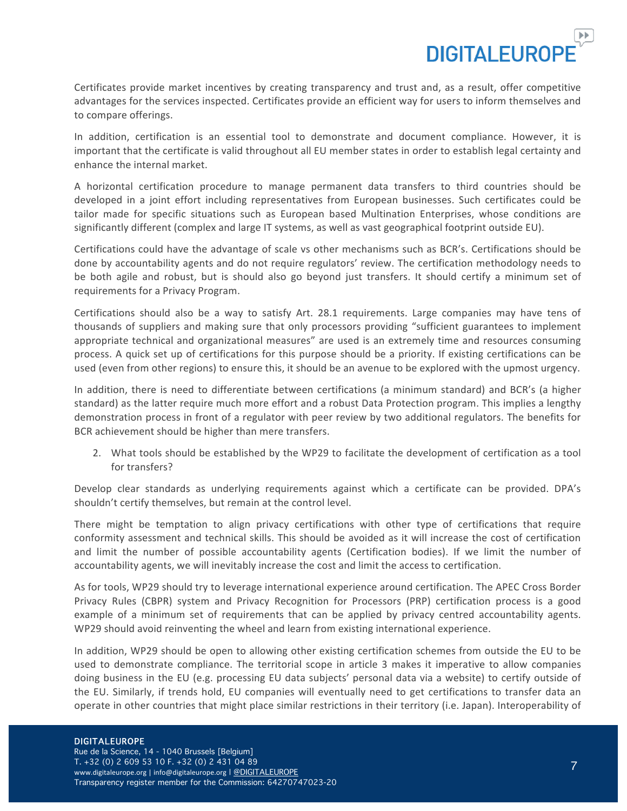**DIGITAL FUROL** 

Certificates provide market incentives by creating transparency and trust and, as a result, offer competitive advantages for the services inspected. Certificates provide an efficient way for users to inform themselves and to compare offerings.

In addition, certification is an essential tool to demonstrate and document compliance. However, it is important that the certificate is valid throughout all EU member states in order to establish legal certainty and enhance the internal market.

A horizontal certification procedure to manage permanent data transfers to third countries should be developed in a joint effort including representatives from European businesses. Such certificates could be tailor made for specific situations such as European based Multination Enterprises, whose conditions are significantly different (complex and large IT systems, as well as vast geographical footprint outside EU).

Certifications could have the advantage of scale vs other mechanisms such as BCR's. Certifications should be done by accountability agents and do not require regulators' review. The certification methodology needs to be both agile and robust, but is should also go beyond just transfers. It should certify a minimum set of requirements for a Privacy Program.

Certifications should also be a way to satisfy Art. 28.1 requirements. Large companies may have tens of thousands of suppliers and making sure that only processors providing "sufficient guarantees to implement appropriate technical and organizational measures" are used is an extremely time and resources consuming process. A quick set up of certifications for this purpose should be a priority. If existing certifications can be used (even from other regions) to ensure this, it should be an avenue to be explored with the upmost urgency.

In addition, there is need to differentiate between certifications (a minimum standard) and BCR's (a higher standard) as the latter require much more effort and a robust Data Protection program. This implies a lengthy demonstration process in front of a regulator with peer review by two additional regulators. The benefits for BCR achievement should be higher than mere transfers.

2. What tools should be established by the WP29 to facilitate the development of certification as a tool for transfers?

Develop clear standards as underlying requirements against which a certificate can be provided. DPA's shouldn't certify themselves, but remain at the control level.

There might be temptation to align privacy certifications with other type of certifications that require conformity assessment and technical skills. This should be avoided as it will increase the cost of certification and limit the number of possible accountability agents (Certification bodies). If we limit the number of accountability agents, we will inevitably increase the cost and limit the access to certification.

As for tools, WP29 should try to leverage international experience around certification. The APEC Cross Border Privacy Rules (CBPR) system and Privacy Recognition for Processors (PRP) certification process is a good example of a minimum set of requirements that can be applied by privacy centred accountability agents. WP29 should avoid reinventing the wheel and learn from existing international experience.

In addition, WP29 should be open to allowing other existing certification schemes from outside the EU to be used to demonstrate compliance. The territorial scope in article 3 makes it imperative to allow companies doing business in the EU (e.g. processing EU data subjects' personal data via a website) to certify outside of the EU. Similarly, if trends hold, EU companies will eventually need to get certifications to transfer data an operate in other countries that might place similar restrictions in their territory (i.e. Japan). Interoperability of

#### DIGITALEUROPE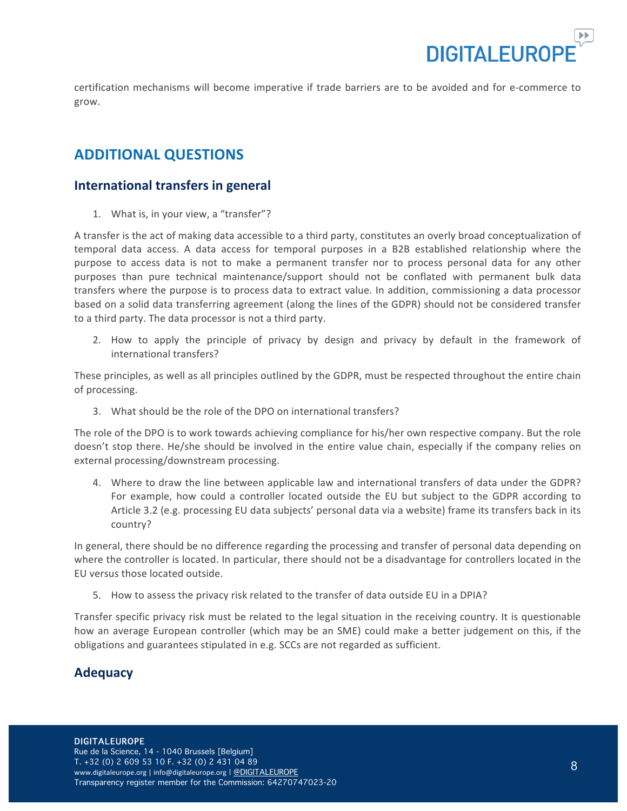

certification mechanisms will become imperative if trade barriers are to be avoided and for e-commerce to grow.

## **ADDITIONAL QUESTIONS**

### **International transfers in general**

1. What is, in your view, a "transfer"?

A transfer is the act of making data accessible to a third party, constitutes an overly broad conceptualization of temporal data access. A data access for temporal purposes in a B2B established relationship where the purpose to access data is not to make a permanent transfer nor to process personal data for any other purposes than pure technical maintenance/support should not be conflated with permanent bulk data transfers where the purpose is to process data to extract value. In addition, commissioning a data processor based on a solid data transferring agreement (along the lines of the GDPR) should not be considered transfer to a third party. The data processor is not a third party.

2. How to apply the principle of privacy by design and privacy by default in the framework of international transfers?

These principles, as well as all principles outlined by the GDPR, must be respected throughout the entire chain of processing.

3. What should be the role of the DPO on international transfers?

The role of the DPO is to work towards achieving compliance for his/her own respective company. But the role doesn't stop there. He/she should be involved in the entire value chain, especially if the company relies on external processing/downstream processing.

4. Where to draw the line between applicable law and international transfers of data under the GDPR? For example, how could a controller located outside the EU but subject to the GDPR according to Article 3.2 (e.g. processing EU data subjects' personal data via a website) frame its transfers back in its country?

In general, there should be no difference regarding the processing and transfer of personal data depending on where the controller is located. In particular, there should not be a disadvantage for controllers located in the EU versus those located outside.

5. How to assess the privacy risk related to the transfer of data outside EU in a DPIA?

Transfer specific privacy risk must be related to the legal situation in the receiving country. It is questionable how an average European controller (which may be an SME) could make a better judgement on this, if the obligations and guarantees stipulated in e.g. SCCs are not regarded as sufficient.

### **Adequacy**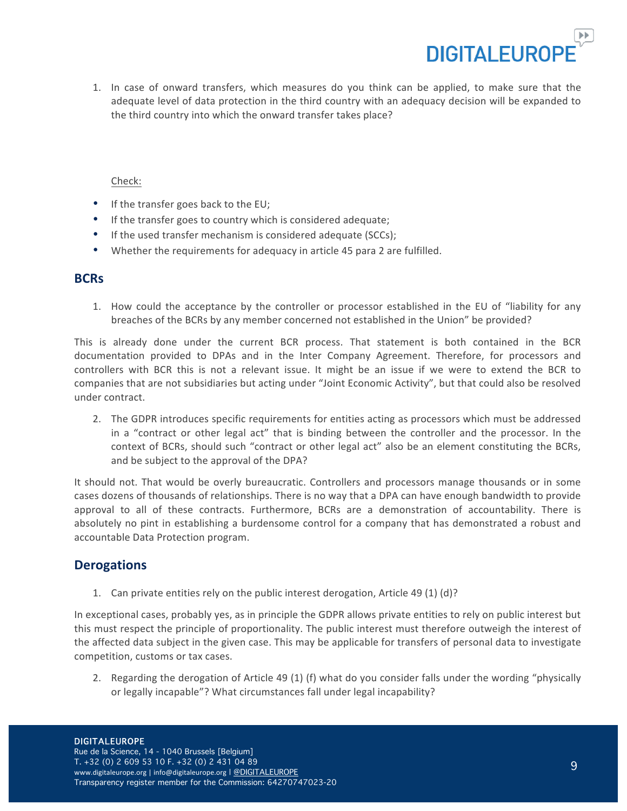

1. In case of onward transfers, which measures do you think can be applied, to make sure that the adequate level of data protection in the third country with an adequacy decision will be expanded to the third country into which the onward transfer takes place?

#### Check:

- $\bullet$  If the transfer goes back to the EU;
- If the transfer goes to country which is considered adequate;
- If the used transfer mechanism is considered adequate (SCCs);
- Whether the requirements for adequacy in article 45 para 2 are fulfilled.

#### **BCRs**

1. How could the acceptance by the controller or processor established in the EU of "liability for any breaches of the BCRs by any member concerned not established in the Union" be provided?

This is already done under the current BCR process. That statement is both contained in the BCR documentation provided to DPAs and in the Inter Company Agreement. Therefore, for processors and controllers with BCR this is not a relevant issue. It might be an issue if we were to extend the BCR to companies that are not subsidiaries but acting under "Joint Economic Activity", but that could also be resolved under contract.

2. The GDPR introduces specific requirements for entities acting as processors which must be addressed in a "contract or other legal act" that is binding between the controller and the processor. In the context of BCRs, should such "contract or other legal act" also be an element constituting the BCRs, and be subject to the approval of the DPA?

It should not. That would be overly bureaucratic. Controllers and processors manage thousands or in some cases dozens of thousands of relationships. There is no way that a DPA can have enough bandwidth to provide approval to all of these contracts. Furthermore, BCRs are a demonstration of accountability. There is absolutely no pint in establishing a burdensome control for a company that has demonstrated a robust and accountable Data Protection program.

### **Derogations**

1. Can private entities rely on the public interest derogation, Article 49 (1) (d)?

In exceptional cases, probably yes, as in principle the GDPR allows private entities to rely on public interest but this must respect the principle of proportionality. The public interest must therefore outweigh the interest of the affected data subject in the given case. This may be applicable for transfers of personal data to investigate competition, customs or tax cases.

2. Regarding the derogation of Article 49 (1) (f) what do you consider falls under the wording "physically or legally incapable"? What circumstances fall under legal incapability?

Transparency register member for the Commission: 64270747023-20

9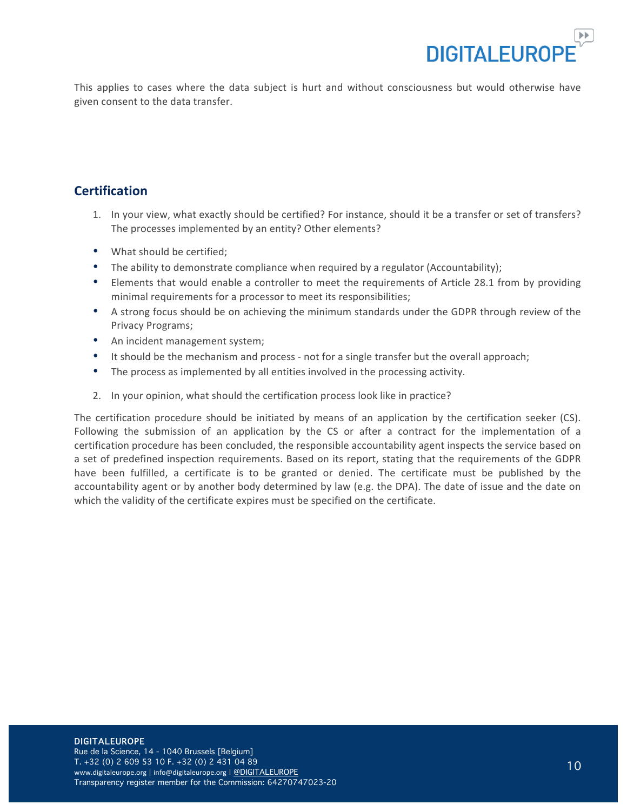

This applies to cases where the data subject is hurt and without consciousness but would otherwise have given consent to the data transfer.

### **Certification**

- 1. In your view, what exactly should be certified? For instance, should it be a transfer or set of transfers? The processes implemented by an entity? Other elements?
- What should be certified;
- The ability to demonstrate compliance when required by a regulator (Accountability);
- Elements that would enable a controller to meet the requirements of Article 28.1 from by providing minimal requirements for a processor to meet its responsibilities;
- A strong focus should be on achieving the minimum standards under the GDPR through review of the Privacy Programs;
- An incident management system;
- It should be the mechanism and process not for a single transfer but the overall approach;
- The process as implemented by all entities involved in the processing activity.
- 2. In your opinion, what should the certification process look like in practice?

The certification procedure should be initiated by means of an application by the certification seeker  $(CS)$ . Following the submission of an application by the CS or after a contract for the implementation of a certification procedure has been concluded, the responsible accountability agent inspects the service based on a set of predefined inspection requirements. Based on its report, stating that the requirements of the GDPR have been fulfilled, a certificate is to be granted or denied. The certificate must be published by the accountability agent or by another body determined by law (e.g. the DPA). The date of issue and the date on which the validity of the certificate expires must be specified on the certificate.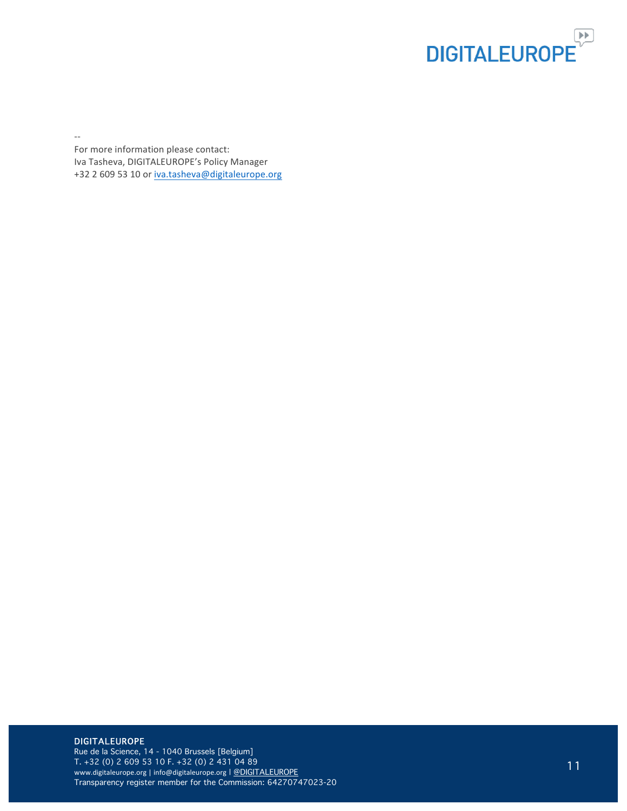

--

For more information please contact: Iva Tasheva, DIGITALEUROPE's Policy Manager +32 2 609 53 10 or iva.tasheva@digitaleurope.org

#### DIGITALEUROPE

Rue de la Science, 14 - 1040 Brussels [Belgium] T. +32 (0) 2 609 53 10 F. +32 (0) 2 431 04 89 www.digitaleurope.org | info@digitaleurope.org | @DIGITALEUROPE Transparency register member for the Commission: 64270747023-20